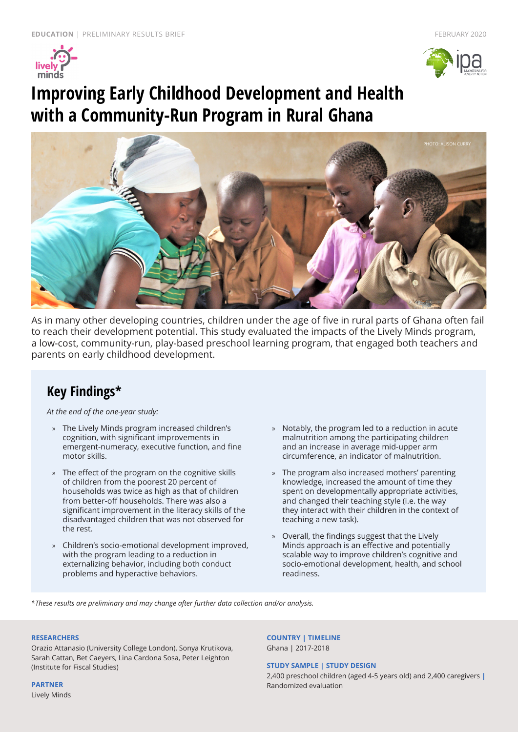



# **Improving Early Childhood Development and Health with a Community-Run Program in Rural Ghana**



As in many other developing countries, children under the age of five in rural parts of Ghana often fail to reach their development potential. This study evaluated the impacts of the Lively Minds program, a low-cost, community-run, play-based preschool learning program, that engaged both teachers and parents on early childhood development.

### **Key Findings\***

*At the end of the one-year study:*

- » The Lively Minds program increased children's cognition, with significant improvements in emergent-numeracy, executive function, and fine motor skills.
- » The effect of the program on the cognitive skills of children from the poorest 20 percent of households was twice as high as that of children from better-off households. There was also a significant improvement in the literacy skills of the disadvantaged children that was not observed for the rest.
- » Children's socio-emotional development improved, with the program leading to a reduction in externalizing behavior, including both conduct problems and hyperactive behaviors.
- » Notably, the program led to a reduction in acute malnutrition among the participating children and an increase in average mid-upper arm circumference, an indicator of malnutrition.
- » The program also increased mothers' parenting knowledge, increased the amount of time they spent on developmentally appropriate activities, and changed their teaching style (i.e. the way they interact with their children in the context of teaching a new task).
- » Overall, the findings suggest that the Lively Minds approach is an effective and potentially scalable way to improve children's cognitive and socio-emotional development, health, and school readiness.

*\*These results are preliminary and may change after further data collection and/or analysis.*

#### **RESEARCHERS**

Orazio Attanasio (University College London), Sonya Krutikova, Sarah Cattan, Bet Caeyers, Lina Cardona Sosa, Peter Leighton (Institute for Fiscal Studies)

**PARTNER**

Lively Minds

**COUNTRY | TIMELINE** Ghana | 2017-2018

#### **STUDY SAMPLE | STUDY DESIGN**

2,400 preschool children (aged 4-5 years old) and 2,400 caregivers **|**  Randomized evaluation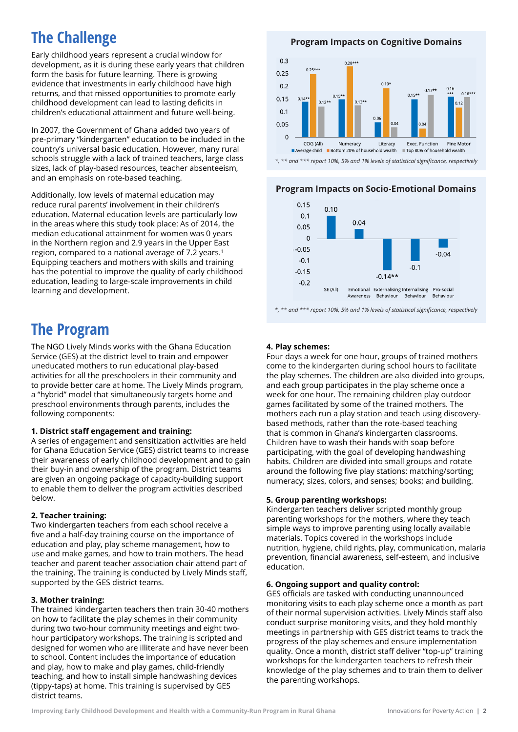## **The Challenge**

Early childhood years represent a crucial window for development, as it is during these early years that children form the basis for future learning. There is growing evidence that investments in early childhood have high returns, and that missed opportunities to promote early childhood development can lead to lasting deficits in children's educational attainment and future well-being.

In 2007, the Government of Ghana added two years of pre-primary "kindergarten" education to be included in the country's universal basic education. However, many rural schools struggle with a lack of trained teachers, large class sizes, lack of play-based resources, teacher absenteeism, and an emphasis on rote-based teaching.

Additionally, low levels of maternal education may reduce rural parents' involvement in their children's education. Maternal education levels are particularly low in the areas where this study took place: As of 2014, the median educational attainment for women was 0 years in the Northern region and 2.9 years in the Upper East region, compared to a national average of 7.2 years.1 Equipping teachers and mothers with skills and training has the potential to improve the quality of early childhood education, leading to large-scale improvements in child learning and development.

### **The Program**

The NGO Lively Minds works with the Ghana Education Service (GES) at the district level to train and empower uneducated mothers to run educational play-based activities for all the preschoolers in their community and to provide better care at home. The Lively Minds program, a "hybrid" model that simultaneously targets home and preschool environments through parents, includes the following components:

#### **1. District staff engagement and training:**

A series of engagement and sensitization activities are held for Ghana Education Service (GES) district teams to increase their awareness of early childhood development and to gain their buy-in and ownership of the program. District teams are given an ongoing package of capacity-building support to enable them to deliver the program activities described below.

### **2. Teacher training:**

Two kindergarten teachers from each school receive a five and a half-day training course on the importance of education and play, play scheme management, how to use and make games, and how to train mothers. The head teacher and parent teacher association chair attend part of the training. The training is conducted by Lively Minds staff, supported by the GES district teams.

### **3. Mother training:**

The trained kindergarten teachers then train 30-40 mothers on how to facilitate the play schemes in their community during two two-hour community meetings and eight twohour participatory workshops. The training is scripted and designed for women who are illiterate and have never been to school. Content includes the importance of education and play, how to make and play games, child-friendly teaching, and how to install simple handwashing devices (tippy-taps) at home. This training is supervised by GES district teams.

**Program Impacts on Cognitive Domains** 



*\*, \*\* and \*\*\* report 10%, 5% and 1% levels of statistical significance, respectively*

### **Program Impacts on Socio-Emotional Domains**



*\*, \*\* and \*\*\* report 10%, 5% and 1% levels of statistical significance, respectively*

### **4. Play schemes:**

Four days a week for one hour, groups of trained mothers come to the kindergarten during school hours to facilitate the play schemes. The children are also divided into groups, and each group participates in the play scheme once a week for one hour. The remaining children play outdoor games facilitated by some of the trained mothers. The mothers each run a play station and teach using discoverybased methods, rather than the rote-based teaching that is common in Ghana's kindergarten classrooms. Children have to wash their hands with soap before participating, with the goal of developing handwashing habits. Children are divided into small groups and rotate around the following five play stations: matching/sorting; numeracy; sizes, colors, and senses; books; and building.

#### **5. Group parenting workshops:**

Kindergarten teachers deliver scripted monthly group parenting workshops for the mothers, where they teach simple ways to improve parenting using locally available materials. Topics covered in the workshops include nutrition, hygiene, child rights, play, communication, malaria prevention, financial awareness, self-esteem, and inclusive education.

#### **6. Ongoing support and quality control:**

GES officials are tasked with conducting unannounced monitoring visits to each play scheme once a month as part of their normal supervision activities. Lively Minds staff also conduct surprise monitoring visits, and they hold monthly meetings in partnership with GES district teams to track the progress of the play schemes and ensure implementation quality. Once a month, district staff deliver "top-up" training workshops for the kindergarten teachers to refresh their knowledge of the play schemes and to train them to deliver the parenting workshops.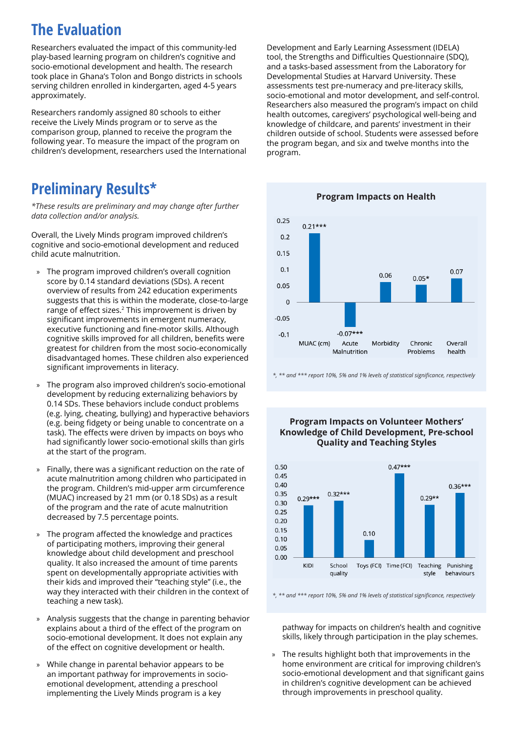## **The Evaluation**

Researchers evaluated the impact of this community-led play-based learning program on children's cognitive and socio-emotional development and health. The research took place in Ghana's Tolon and Bongo districts in schools serving children enrolled in kindergarten, aged 4-5 years approximately.

Researchers randomly assigned 80 schools to either receive the Lively Minds program or to serve as the comparison group, planned to receive the program the following year. To measure the impact of the program on children's development, researchers used the International

### **Preliminary Results\***

*\*These results are preliminary and may change after further data collection and/or analysis.*

Overall, the Lively Minds program improved children's cognitive and socio-emotional development and reduced child acute malnutrition.

- » The program improved children's overall cognition score by 0.14 standard deviations (SDs). A recent overview of results from 242 education experiments suggests that this is within the moderate, close-to-large range of effect sizes.2 This improvement is driven by significant improvements in emergent numeracy, executive functioning and fine-motor skills. Although cognitive skills improved for all children, benefits were greatest for children from the most socio-economically disadvantaged homes. These children also experienced significant improvements in literacy.
- » The program also improved children's socio-emotional development by reducing externalizing behaviors by 0.14 SDs. These behaviors include conduct problems (e.g. lying, cheating, bullying) and hyperactive behaviors (e.g. being fidgety or being unable to concentrate on a task). The effects were driven by impacts on boys who had significantly lower socio-emotional skills than girls at the start of the program.
- » Finally, there was a significant reduction on the rate of acute malnutrition among children who participated in the program. Children's mid-upper arm circumference (MUAC) increased by 21 mm (or 0.18 SDs) as a result of the program and the rate of acute malnutrition decreased by 7.5 percentage points.
- The program affected the knowledge and practices of participating mothers, improving their general knowledge about child development and preschool quality. It also increased the amount of time parents spent on developmentally appropriate activities with their kids and improved their "teaching style" (i.e., the way they interacted with their children in the context of teaching a new task).
- » Analysis suggests that the change in parenting behavior explains about a third of the effect of the program on socio-emotional development. It does not explain any of the effect on cognitive development or health.
- » While change in parental behavior appears to be an important pathway for improvements in socioemotional development, attending a preschool implementing the Lively Minds program is a key

Development and Early Learning Assessment (IDELA) tool, the Strengths and Difficulties Questionnaire (SDQ), and a tasks-based assessment from the Laboratory for Developmental Studies at Harvard University. These assessments test pre-numeracy and pre-literacy skills, socio-emotional and motor development, and self-control. Researchers also measured the program's impact on child health outcomes, caregivers' psychological well-being and knowledge of childcare, and parents' investment in their children outside of school. Students were assessed before the program began, and six and twelve months into the program.

**Program Impacts on Health**  $0.25$  $0.21***$  $0.2$  $0.15$  $0.1$  $0.07$  $0.06$  $0.05*$  $0.05$  $\Omega$  $-0.05$  $-0.1$  $-0.07$ \*\*\* MUAC (cm) Acute Morbidity Chronic Overall Malnutrition Problems health

*\*, \*\* and \*\*\* report 10%, 5% and 1% levels of statistical significance, respectively*

#### **Program Impacts on Volunteer Mothers' Knowledge of Child Development, Pre-school Quality and Teaching Styles**



*\*, \*\* and \*\*\* report 10%, 5% and 1% levels of statistical significance, respectively*

pathway for impacts on children's health and cognitive skills, likely through participation in the play schemes.

» The results highlight both that improvements in the home environment are critical for improving children's socio-emotional development and that significant gains in children's cognitive development can be achieved through improvements in preschool quality.